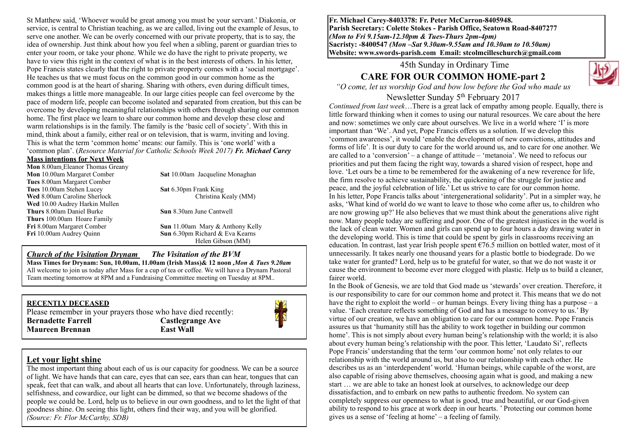St Matthew said, 'Whoever would be great among you must be your servant.' Diakonia, or service, is central to Christian teaching, as we are called, living out the example of Jesus, to serve one another. We can be overly concerned with our private property, that is to say, the idea of ownership. Just think about how you feel when a sibling, parent or guardian tries to enter your room, or take your phone. While we do have the right to private property, we have to view this right in the context of what is in the best interests of others. In his letter, Pope Francis states clearly that the right to private property comes with a 'social mortgage'. He teaches us that we must focus on the common good in our common home as the common good is at the heart of sharing. Sharing with others, even during difficult times, makes things a little more manageable. In our large cities people can feel overcome by the pace of modern life, people can become isolated and separated from creation, but this can be overcome by developing meaningful relationships with others through sharing our common home. The first place we learn to share our common home and develop these close and warm relationships is in the family. The family is the 'basic cell of society'. With this in mind, think about a family, either real or on television, that is warm, inviting and loving. This is what the term 'common home' means: our family. This is 'one world' with a 'common plan'. (*Resource Material for Catholic Schools Week 2017) Fr. Michael Carey*

#### **Mass intentions for Next Week**

**Mon** 8.00am Eleanor Thomas Greany **Mon** 10.00am Margaret Comber **Sat** 10.00am Jacqueline Monaghan **Tues** 8.00am Margaret Comber **Tues** 10.00am Stehen Lucey **Sat** 6.30pm Frank King **Wed** 8.00am Caroline Sherlock Christina Kealy (MM) **Wed** 10.00 Audrey Harkin Mullen **Thurs** 8.00am Daniel Burke **Sun** 8.30am June Cantwell **Thurs** 100.00am Hoare Family **Fri** 8.00am Margaret Comber **Sun** 11.00am Mary & Anthony Kelly **Fri** 10.00am Audrey Quinn **Sun** 6.30pm Richard & Eva Kearns

Helen Gibson (MM)

#### *Church of the Visitation Drynam**The Visitation of the BVM* **Mass Times for Drynam: Sun, 10.00am, 11.00am (Irish Mass)& 12 noon** *,Mon & Tues 9.20am*  All welcome to join us today after Mass for a cup of tea or coffee. We will have a Drynam Pastoral Team meeting tomorrow at 8PM and a Fundraising Committee meeting on Tuesday at 8PM..

### **RECENTLY DECEASED**

Please remember in your prayers those who have died recently: **Bernadette Farrell Castlegrange Ave Maureen Brennan East Wall**



### **Let your light shine**

The most important thing about each of us is our capacity for goodness. We can be a source of light. We have hands that can care, eyes that can see, ears than can hear, tongues that can speak, feet that can walk, and about all hearts that can love. Unfortunately, through laziness, selfishness, and cowardice, our light can be dimmed, so that we become shadows of the people we could be. Lord, help us to believe in our own goodness, and to let the light of that goodness shine. On seeing this light, others find their way, and you will be glorified. *(Source: Fr. Flor McCarthy, SDB)*

**Fr. Michael Carey-8403378: Fr. Peter McCarron-8405948. Parish Secretary: Colette Stokes - Parish Office, Seatown Road-8407277**  *(Mon to Fri 9.15am-12.30pm & Tues-Thurs 2pm-4pm)*  **Sacristy: -8400547** *(Mon –Sat 9.30am-9.55am and 10.30am to 10.50am)* **Website: [www.swords-parish.com Email:](http://www.swords-parish.com%20%20email) stcolmcilleschurch@gmail.com**

45th Sunday in Ordinary Time

## **CARE FOR OUR COMMON HOME-part 2**



*"O come, let us worship God and bow low before the God who made us* 

### Newsletter Sunday 5th February 2017

*Continued from last week*…There is a great lack of empathy among people. Equally, there is little forward thinking when it comes to using our natural resources. We care about the here and now: sometimes we only care about ourselves. We live in a world where 'I' is more important than 'We'. And yet, Pope Francis offers us a solution. If we develop this 'common awareness', it would 'enable the development of new convictions, attitudes and forms of life'. It is our duty to care for the world around us, and to care for one another. We are called to a 'conversion' – a change of attitude – 'metanoia'. We need to refocus our priorities and put them facing the right way, towards a shared vision of respect, hope and love. 'Let ours be a time to be remembered for the awakening of a new reverence for life, the firm resolve to achieve sustainability, the quickening of the struggle for justice and peace, and the joyful celebration of life.' Let us strive to care for our common home. In his letter, Pope Francis talks about 'intergenerational solidarity'. Put in a simpler way, he asks, 'What kind of world do we want to leave to those who come after us, to children who are now growing up?' He also believes that we must think about the generations alive right now. Many people today are suffering and poor. One of the greatest injustices in the world is the lack of clean water. Women and girls can spend up to four hours a day drawing water in the developing world. This is time that could be spent by girls in classrooms receiving an education. In contrast, last year Irish people spent  $\epsilon$ 76.5 million on bottled water, most of it unnecessarily. It takes nearly one thousand years for a plastic bottle to biodegrade. Do we take water for granted? Lord, help us to be grateful for water, so that we do not waste it or cause the environment to become ever more clogged with plastic. Help us to build a cleaner, fairer world.

In the Book of Genesis, we are told that God made us 'stewards' over creation. Therefore, it is our responsibility to care for our common home and protect it. This means that we do not have the right to exploit the world – or human beings. Every living thing has a purpose – a value. 'Each creature reflects something of God and has a message to convey to us.' By virtue of our creation, we have an obligation to care for our common home. Pope Francis assures us that 'humanity still has the ability to work together in building our common home'. This is not simply about every human being's relationship with the world; it is also about every human being's relationship with the poor. This letter, 'Laudato Si', reflects Pope Francis' understanding that the term 'our common home' not only relates to our relationship with the world around us, but also to our relationship with each other. He describes us as an 'interdependent' world. 'Human beings, while capable of the worst, are also capable of rising above themselves, choosing again what is good, and making a new start … we are able to take an honest look at ourselves, to acknowledge our deep dissatisfaction, and to embark on new paths to authentic freedom. No system can completely suppress our openness to what is good, true and beautiful, or our God-given ability to respond to his grace at work deep in our hearts. ' Protecting our common home gives us a sense of 'feeling at home' – a feeling of family.